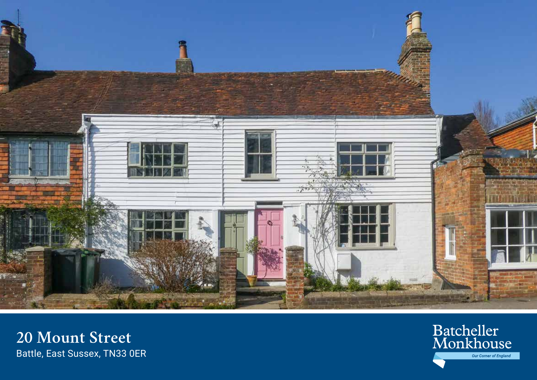

20 Mount Street Battle, East Sussex, TN33 OER

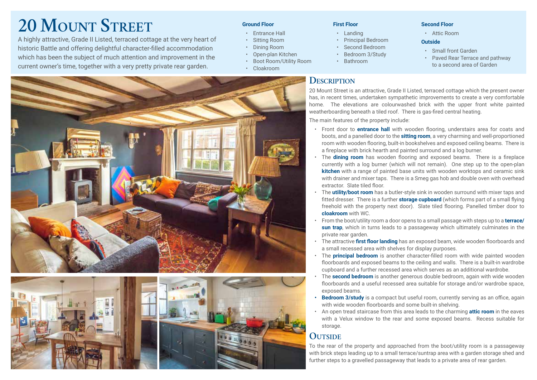# **20 Mount Street**

A highly attractive, Grade II Listed, terraced cottage at the very heart of historic Battle and offering delightful character-filled accommodation which has been the subject of much attention and improvement in the current owner's time, together with a very pretty private rear garden.

#### **Ground Floor**

- Entrance Hall
- Sitting Room
- Dining Room
- Open-plan Kitchen
- Boot Room/Utility Room
- Cloakroom





#### **First Floor**

- Landing
- Principal Bedroom
- Second Bedroom
- Bedroom 3/Study
- Bathroom

## **Description**

**Second Floor**

• Attic Room

#### **Outside**

• Paved Rear Terrace and pathway to a second area of Garden

20 Mount Street is an attractive, Grade II Listed, terraced cottage which the present owner has, in recent times, undertaken sympathetic improvements to create a very comfortable home. The elevations are colourwashed brick with the upper front white painted weatherboarding beneath a tiled roof. There is gas-fired central heating.

The main features of the property include:

- Front door to **entrance hall** with wooden flooring, understairs area for coats and boots, and a panelled door to the **sitting room**, a very charming and well-proportioned room with wooden flooring, built-in bookshelves and exposed ceiling beams. There is a fireplace with brick hearth and painted surround and a log burner.
- The **dining room** has wooden flooring and exposed beams. There is a fireplace currently with a log burner (which will not remain). One step up to the open-plan **kitchen** with a range of painted base units with wooden worktops and ceramic sink with drainer and mixer taps. There is a Smeg gas hob and double oven with overhead extractor. Slate tiled floor.
- The **utility/boot room** has a butler-style sink in wooden surround with mixer taps and fitted dresser. There is a further **storage cupboard** (which forms part of a small flying freehold with the property next door). Slate tiled flooring. Panelled timber door to **cloakroom** with WC.
- From the boot/utility room a door opens to a small passage with steps up to a **terrace/ sun trap**, which in turns leads to a passageway which ultimately culminates in the private rear garden.
- The attractive **first floor landing** has an exposed beam, wide wooden floorboards and a small recessed area with shelves for display purposes.
- The **principal bedroom** is another character-filled room with wide painted wooden floorboards and exposed beams to the ceiling and walls. There is a built-in wardrobe cupboard and a further recessed area which serves as an additional wardrobe.
- The **second bedroom** is another generous double bedroom, again with wide wooden floorboards and a useful recessed area suitable for storage and/or wardrobe space, exposed beams.
- **•• Bedroom 3/study** is a compact but useful room, currently serving as an office, again with wide wooden floorboards and some built-in shelving.
- An open tread staircase from this area leads to the charming **attic room** in the eaves with a Velux window to the rear and some exposed beams. Recess suitable for storage.

## **OUTSIDE**

To the rear of the property and approached from the boot/utility room is a passageway with brick steps leading up to a small terrace/suntrap area with a garden storage shed and further steps to a gravelled passageway that leads to a private area of rear garden.

• Small front Garden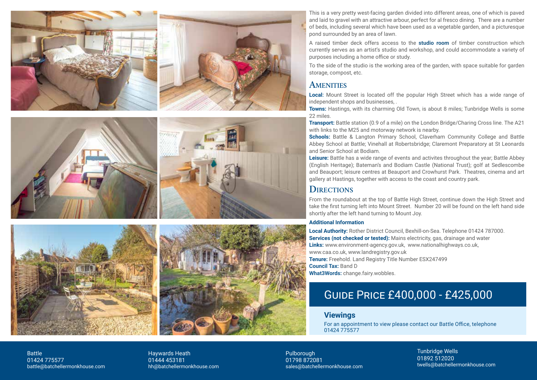







Pulborough 01798 872081 sales@batchellermonkhouse.com Tunbridge Wells 01892 512020 twells@batchellermonkhouse.com

This is a very pretty west-facing garden divided into different areas, one of which is paved and laid to gravel with an attractive arbour, perfect for al fresco dining. There are a number of beds, including several which have been used as a vegetable garden, and a picturesque pond surrounded by an area of lawn.

A raised timber deck offers access to the **studio room** of timber construction which currently serves as an artist's studio and workshop, and could accommodate a variety of purposes including a home office or study.

To the side of the studio is the working area of the garden, with space suitable for garden storage, compost, etc.

## **AMENITIES**

**Local:** Mount Street is located off the popular High Street which has a wide range of independent shops and businesses, .

**Towns:** Hastings, with its charming Old Town, is about 8 miles; Tunbridge Wells is some 22 miles.

**Transport:** Battle station (0.9 of a mile) on the London Bridge/Charing Cross line. The A21 with links to the M25 and motorway network is nearby.

**Schools:** [Battle & Langton Primary School,](http://www.battlelangton.e-sussex.sch.uk/) [Claverham Community College](https://claverham.e-sussex.sch.uk/) and [Battle](https://www.battleabbeyschool.com/) [Abbey School](https://www.battleabbeyschool.com/) at Battle; [Vinehall](http://www.vinehallschool.com) at Robertsbridge; [Claremont](http://www.claremontschool.co.uk) Preparatory at St Leonards and Senior School at Bodiam.

**Leisure:** Battle has a wide range of events and activites throughout the year; [Battle Abbey](http://www.english-heritage.org.uk) (English Heritage); Bateman's and Bodiam Castle [\(National Trust](http://www.nationaltrust.org.uk)); golf at [Sedlescombe](https://www.sedlescombegolfclub.co.uk/) and [Beaupor](https://www.beauportparkgolf.club/)t; leisure centres at [Beauport](https://spa.bannatyne.co.uk/hastings) and [Crowhurst Park](https://crowhurstpark.co.uk/park-facilities/leisure-club). Theatres, cinema and art gallery at Hastings, together with access to the coast and country park.

## **DIRECTIONS**

From the roundabout at the top of Battle High Street, continue down the High Street and take the first turning left into Mount Street. Number 20 will be found on the left hand side shortly after the left hand turning to Mount Joy.

#### **Additional Information**

**Local Authority:** [Rother District Council,](http://www.rother.gov.uk) Bexhill-on-Sea. Telephone 01424 787000. **Services (not checked or tested):** Mains electricity, gas, drainage and water **Links:** [www.environment-agency.gov.uk](http://www.environment-agency.gov.uk), <www.nationalhighways.co.uk>, [www.caa.co.uk](http://www.caa.co.uk), [www.landregistry.gov.uk](http://www.landregistry.gov.uk) **Tenure:** Freehold. Land Registry Title Number ESX247499 **Council Tax:** Band D **What3Words:** change.fairy.wobbles.

## Guide Price £400,000 - £425,000

### **Viewings**

For an appointment to view please contact our Battle Office, telephone 01424 775577

Battle 01424 775577 battle@batchellermonkhouse.com Haywards Heath 01444 453181 hh@batchellermonkhouse.com